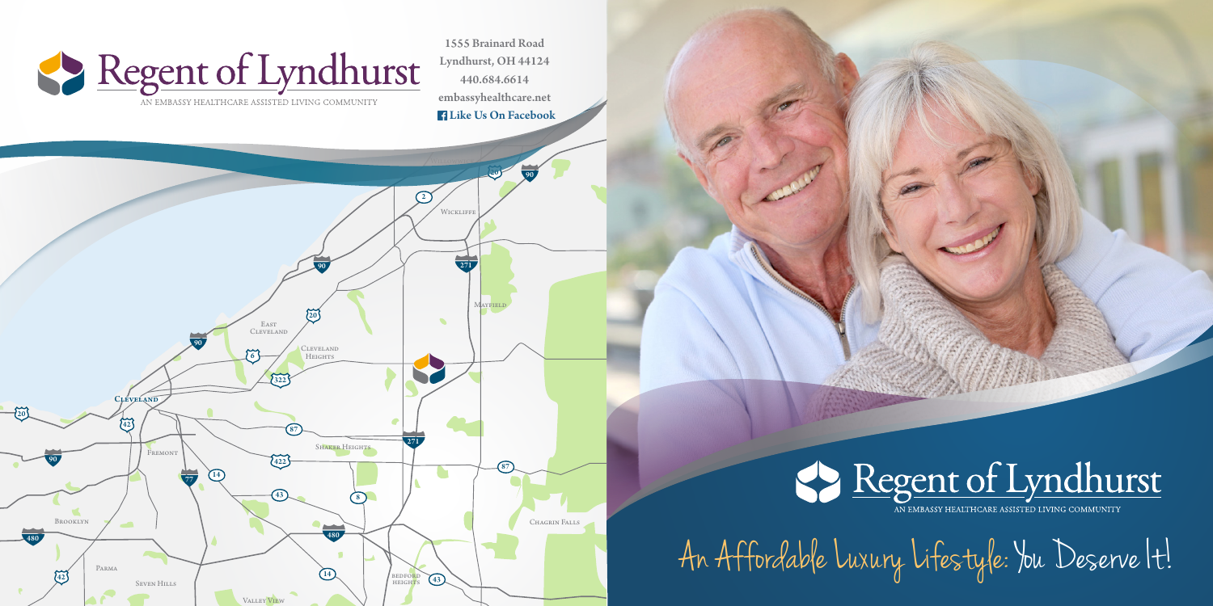44

6 20 42  $\binom{1}{42}$  $\frac{1}{20}$ 20 90 90 90  $\frac{1}{77}$ 90 <sup>480</sup> <sup>480</sup> 271 271  $422$  $\frac{1}{322}$  $\binom{2}{2}$ 87  $\binom{14}{}$  $\overline{14}$  $\overline{(43)}$  $\bigoplus$  8 87 87 88 Seven Hills Parma SHAKER HEIGHTS Brooklyn **FREMONT** CLEVELAND<br>Heights **WICKLIFFE MAYFIELD** Willowwick **BEDFORD**<br>HEIGHTS Chagrin Falls **CLEVELAND** East Cleveland

Valley View



**Aquil** 



## Regent of Lyndhurst

AN EMBASSY HEALTHCARE ASSISTED LIVING COMMUNITY

Yates Corners

An Affordable Luxury Lifestyle: You Deserve It!



1555 Brainard Road Lyndhurst, OH 44124 440.684.6614 embassyhealthcare.net Like Us On Facebook